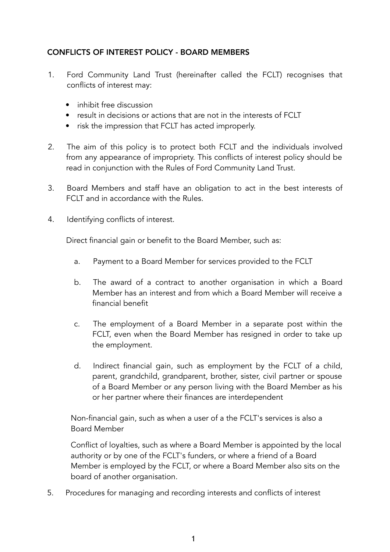## CONFLICTS OF INTEREST POLICY - BOARD MEMBERS

- 1. Ford Community Land Trust (hereinafter called the FCLT) recognises that conflicts of interest may:
	- inhibit free discussion
	- result in decisions or actions that are not in the interests of FCLT
	- risk the impression that FCLT has acted improperly.
- 2. The aim of this policy is to protect both FCLT and the individuals involved from any appearance of impropriety. This conflicts of interest policy should be read in conjunction with the Rules of Ford Community Land Trust.
- 3. Board Members and staff have an obligation to act in the best interests of FCLT and in accordance with the Rules.
- 4. Identifying conflicts of interest.

Direct financial gain or benefit to the Board Member, such as:

- a. Payment to a Board Member for services provided to the FCLT
- b. The award of a contract to another organisation in which a Board Member has an interest and from which a Board Member will receive a financial benefit
- c. The employment of a Board Member in a separate post within the FCLT, even when the Board Member has resigned in order to take up the employment.
- d. Indirect financial gain, such as employment by the FCLT of a child, parent, grandchild, grandparent, brother, sister, civil partner or spouse of a Board Member or any person living with the Board Member as his or her partner where their finances are interdependent

Non-financial gain, such as when a user of a the FCLT's services is also a Board Member

Conflict of loyalties, such as where a Board Member is appointed by the local authority or by one of the FCLT's funders, or where a friend of a Board Member is employed by the FCLT, or where a Board Member also sits on the board of another organisation.

5. Procedures for managing and recording interests and conflicts of interest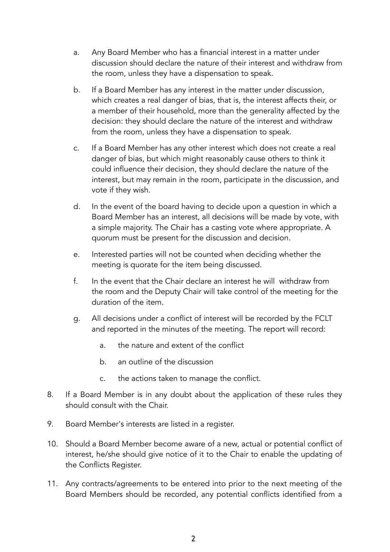- a. Any Board Member who has a financial interest in a matter under discussion should declare the nature of their interest and withdraw from the room, unless they have a dispensation to speak.
- b. If a Board Member has any interest in the matter under discussion, which creates a real danger of bias, that is, the interest affects their, or a member of their household, more than the generality affected by the decision: they should declare the nature of the interest and withdraw from the room, unless they have a dispensation to speak.
- c. If a Board Member has any other interest which does not create a real danger of bias, but which might reasonably cause others to think it could influence their decision, they should declare the nature of the interest, but may remain in the room, participate in the discussion, and vote if they wish.
- d. In the event of the board having to decide upon a question in which a Board Member has an interest, all decisions will be made by vote, with a simple majority. The Chair has a casting vote where appropriate. A quorum must be present for the discussion and decision.
- e. Interested parties will not be counted when deciding whether the meeting is quorate for the item being discussed.
- f. In the event that the Chair declare an interest he will withdraw from the room and the Deputy Chair will take control of the meeting for the duration of the item.
- g. All decisions under a conflict of interest will be recorded by the FCLT and reported in the minutes of the meeting. The report will record:
	- a. the nature and extent of the conflict
	- b. an outline of the discussion
	- c. the actions taken to manage the conflict.
- 8. If a Board Member is in any doubt about the application of these rules they should consult with the Chair.
- 9. Board Member's interests are listed in a register.
- 10. Should a Board Member become aware of a new, actual or potential conflict of interest, he/she should give notice of it to the Chair to enable the updating of the Conflicts Register.
- 11. Any contracts/agreements to be entered into prior to the next meeting of the Board Members should be recorded, any potential conflicts identified from a